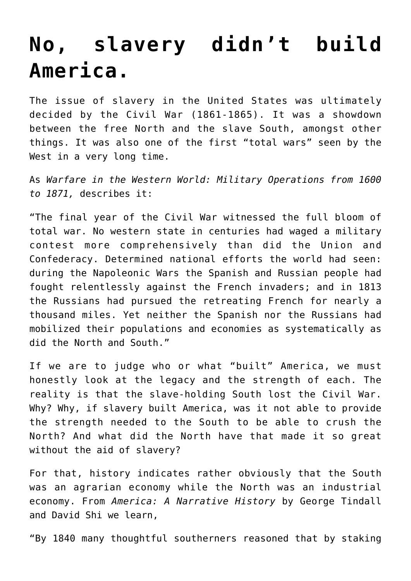## **[No, slavery didn't build](https://intellectualtakeout.org/2016/03/no-slavery-didnt-build-america/) [America.](https://intellectualtakeout.org/2016/03/no-slavery-didnt-build-america/)**

The issue of slavery in the United States was ultimately decided by the Civil War (1861-1865). It was a showdown between the free North and the slave South, amongst other things. It was also one of the first "total wars" seen by the West in a very long time.

As *Warfare in the Western World: Military Operations from 1600 to 1871,* describes it:

"The final year of the Civil War witnessed the full bloom of total war. No western state in centuries had waged a military contest more comprehensively than did the Union and Confederacy. Determined national efforts the world had seen: during the Napoleonic Wars the Spanish and Russian people had fought relentlessly against the French invaders; and in 1813 the Russians had pursued the retreating French for nearly a thousand miles. Yet neither the Spanish nor the Russians had mobilized their populations and economies as systematically as did the North and South."

If we are to judge who or what "built" America, we must honestly look at the legacy and the strength of each. The reality is that the slave-holding South lost the Civil War. Why? Why, if slavery built America, was it not able to provide the strength needed to the South to be able to crush the North? And what did the North have that made it so great without the aid of slavery?

For that, history indicates rather obviously that the South was an agrarian economy while the North was an industrial economy. From *America: A Narrative History* by George Tindall and David Shi we learn,

"By 1840 many thoughtful southerners reasoned that by staking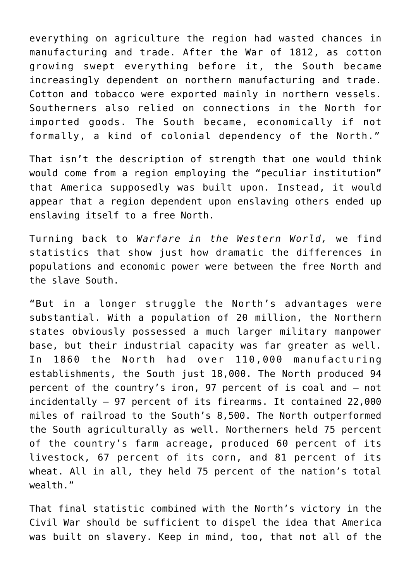everything on agriculture the region had wasted chances in manufacturing and trade. After the War of 1812, as cotton growing swept everything before it, the South became increasingly dependent on northern manufacturing and trade. Cotton and tobacco were exported mainly in northern vessels. Southerners also relied on connections in the North for imported goods. The South became, economically if not formally, a kind of colonial dependency of the North."

That isn't the description of strength that one would think would come from a region employing the "peculiar institution" that America supposedly was built upon. Instead, it would appear that a region dependent upon enslaving others ended up enslaving itself to a free North.

Turning back to *Warfare in the Western World,* we find statistics that show just how dramatic the differences in populations and economic power were between the free North and the slave South.

"But in a longer struggle the North's advantages were substantial. With a population of 20 million, the Northern states obviously possessed a much larger military manpower base, but their industrial capacity was far greater as well. In 1860 the North had over 110,000 manufacturing establishments, the South just 18,000. The North produced 94 percent of the country's iron, 97 percent of is coal and – not incidentally – 97 percent of its firearms. It contained 22,000 miles of railroad to the South's 8,500. The North outperformed the South agriculturally as well. Northerners held 75 percent of the country's farm acreage, produced 60 percent of its livestock, 67 percent of its corn, and 81 percent of its wheat. All in all, they held 75 percent of the nation's total wealth."

That final statistic combined with the North's victory in the Civil War should be sufficient to dispel the idea that America was built on slavery. Keep in mind, too, that not all of the